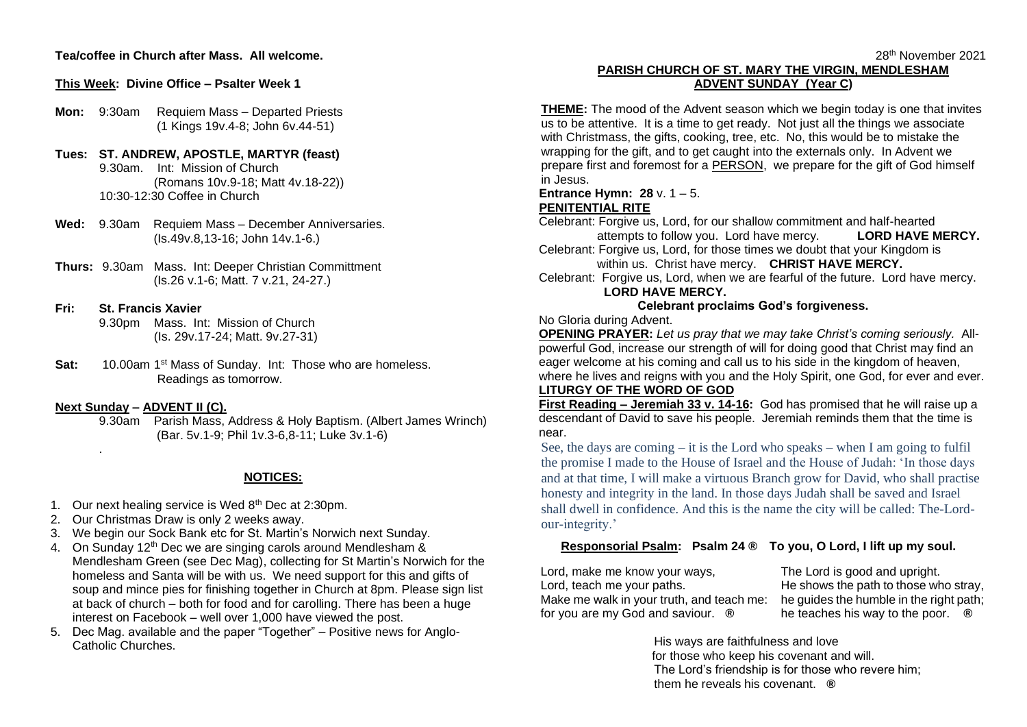## **Tea/coffee in Church after Mass. All welcome.**

#### **This Week: Divine Office – Psalter Week 1**

**Mon:** 9:30am Requiem Mass – Departed Priests (1 Kings 19v.4-8; John 6v.44-51)

#### **Tues: ST. ANDREW, APOSTLE, MARTYR (feast)** 9.30am. Int: Mission of Church (Romans 10v.9-18; Matt 4v.18-22)) 10:30-12:30 Coffee in Church

- **Wed:** 9.30am Requiem Mass December Anniversaries. (Is.49v.8,13-16; John 14v.1-6.)
- **Thurs:** 9.30am Mass. Int: Deeper Christian Committment (Is.26 v.1-6; Matt. 7 v.21, 24-27.)

## **Fri: St. Francis Xavier**

9.30pm Mass. Int: Mission of Church (Is. 29v.17-24; Matt. 9v.27-31)

Sat: 10.00am 1<sup>st</sup> Mass of Sunday. Int: Those who are homeless. Readings as tomorrow.

#### **Next Sunday – ADVENT II (C).**

.

9.30am Parish Mass, Address & Holy Baptism. (Albert James Wrinch) (Bar. 5v.1-9; Phil 1v.3-6,8-11; Luke 3v.1-6)

#### **NOTICES:**

- 1. Our next healing service is Wed 8<sup>th</sup> Dec at 2:30pm.
- 2. Our Christmas Draw is only 2 weeks away.
- 3. We begin our Sock Bank etc for St. Martin's Norwich next Sunday.
- 4. On Sunday 12<sup>th</sup> Dec we are singing carols around Mendlesham & Mendlesham Green (see Dec Mag), collecting for St Martin's Norwich for the homeless and Santa will be with us. We need support for this and gifts of soup and mince pies for finishing together in Church at 8pm. Please sign list at back of church – both for food and for carolling. There has been a huge interest on Facebook – well over 1,000 have viewed the post.
- 5. Dec Mag. available and the paper "Together" Positive news for Anglo-Catholic Churches.

### 28th November 2021 **PARISH CHURCH OF ST. MARY THE VIRGIN, MENDLESHAM ADVENT SUNDAY (Year C)**

**THEME:** The mood of the Advent season which we begin today is one that invites us to be attentive. It is a time to get ready. Not just all the things we associate with Christmass, the gifts, cooking, tree, etc. No, this would be to mistake the wrapping for the gift, and to get caught into the externals only. In Advent we prepare first and foremost for a PERSON, we prepare for the gift of God himself in Jesus.

#### **Entrance Hymn: 28** v. 1 – 5. **PENITENTIAL RITE**

Celebrant: Forgive us, Lord, for our shallow commitment and half-hearted attempts to follow you. Lord have mercy. **LORD HAVE MERCY.** Celebrant: Forgive us, Lord, for those times we doubt that your Kingdom is

within us. Christ have mercy. **CHRIST HAVE MERCY.**

Celebrant: Forgive us, Lord, when we are fearful of the future. Lord have mercy. **LORD HAVE MERCY.**

## **Celebrant proclaims God's forgiveness.**

No Gloria during Advent.

**OPENING PRAYER:** *Let us pray that we may take Christ's coming seriously.* Allpowerful God, increase our strength of will for doing good that Christ may find an eager welcome at his coming and call us to his side in the kingdom of heaven, where he lives and reigns with you and the Holy Spirit, one God, for ever and ever.

# **LITURGY OF THE WORD OF GOD**

**First Reading – Jeremiah 33 v. 14-16:** God has promised that he will raise up a descendant of David to save his people. Jeremiah reminds them that the time is near.

See, the days are coming  $-$  it is the Lord who speaks  $-$  when I am going to fulfil the promise I made to the House of Israel and the House of Judah: 'In those days and at that time, I will make a virtuous Branch grow for David, who shall practise honesty and integrity in the land. In those days Judah shall be saved and Israel shall dwell in confidence. And this is the name the city will be called: The-Lordour-integrity.'

### **Responsorial Psalm: Psalm 24 ® To you, O Lord, I lift up my soul.**

Lord, make me know your ways, Lord, teach me your paths. Make me walk in your truth, and teach me: for you are my God and saviour. **®**

The Lord is good and upright. He shows the path to those who stray, he guides the humble in the right path; he teaches his way to the poor. **®**

His ways are faithfulness and love for those who keep his covenant and will. The Lord's friendship is for those who revere him; them he reveals his covenant. **®**